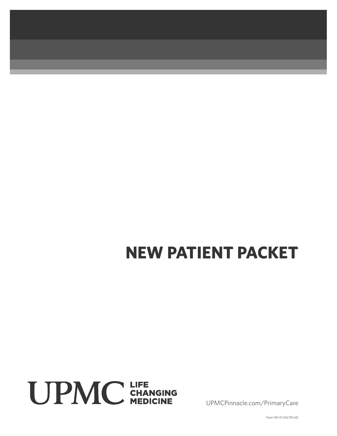# **NEW PATIENT PACKET**



UPMCPinnacle.com/PrimaryCare

Form 1411-01 (04/19) InD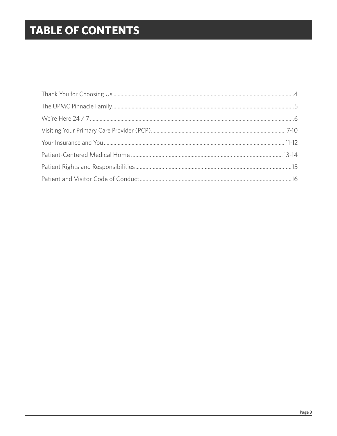## **TABLE OF CONTENTS**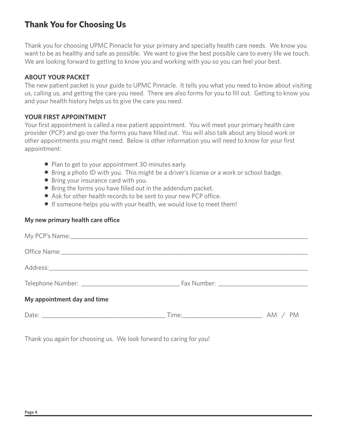## **Thank You for Choosing Us**

Thank you for choosing UPMC Pinnacle for your primary and specialty health care needs. We know you want to be as healthy and safe as possible. We want to give the best possible care to every life we touch. We are looking forward to getting to know you and working with you so you can feel your best.

#### **ABOUT YOUR PACKET**

The new patient packet is your guide to UPMC Pinnacle. It tells you what you need to know about visiting us, calling us, and getting the care you need. There are also forms for you to fill out. Getting to know you and your health history helps us to give the care you need.

#### **YOUR FIRST APPOINTMENT**

Your first appointment is called a new patient appointment. You will meet your primary health care provider (PCP) and go over the forms you have filled out. You will also talk about any blood work or other appointments you might need. Below is other information you will need to know for your first appointment:

- Plan to get to your appointment 30 minutes early.
- Bring a photo ID with you. This might be a driver's license or a work or school badge.
- Bring your insurance card with you.
- Bring the forms you have filled out in the addendum packet.
- Ask for other health records to be sent to your new PCP office.
- If someone helps you with your health, we would love to meet them!

#### **My new primary health care office**

| My appointment day and time |  |
|-----------------------------|--|
|                             |  |

Thank you again for choosing us. We look forward to caring for you!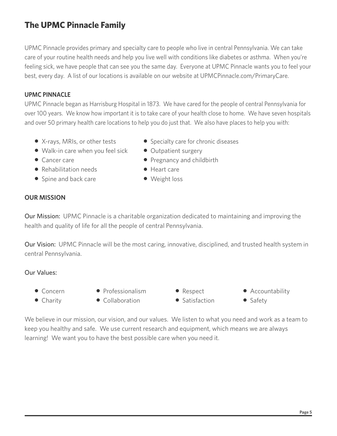## **The UPMC Pinnacle Family**

UPMC Pinnacle provides primary and specialty care to people who live in central Pennsylvania. We can take care of your routine health needs and help you live well with conditions like diabetes or asthma. When you're feeling sick, we have people that can see you the same day. Everyone at UPMC Pinnacle wants you to feel your best, every day. A list of our locations is available on our website at UPMCPinnacle.com/PrimaryCare.

#### **UPMC PINNACLE**

UPMC Pinnacle began as Harrisburg Hospital in 1873. We have cared for the people of central Pennsylvania for over 100 years. We know how important it is to take care of your health close to home. We have seven hospitals and over 50 primary health care locations to help you do just that. We also have places to help you with:

- 
- $\bullet$  Walk-in care when you feel sick  $\bullet$  Outpatient surgery
- 
- Rehabilitation needs Heart care
- Spine and back care **•** Weight loss
- X-rays, MRIs, or other tests Specialty care for chronic diseases
	-
- Cancer care z Pregnancy and childbirth
	-
	-

#### **OUR MISSION**

Our Mission: UPMC Pinnacle is a charitable organization dedicated to maintaining and improving the health and quality of life for all the people of central Pennsylvania.

Our Vision: UPMC Pinnacle will be the most caring, innovative, disciplined, and trusted health system in central Pennsylvania.

#### Our Values:

- 
- Concern Professionalism Respect Accountability
- Charity Collaboration Satisfaction Safety
- 
- 
- 
- 

We believe in our mission, our vision, and our values. We listen to what you need and work as a team to keep you healthy and safe. We use current research and equipment, which means we are always learning! We want you to have the best possible care when you need it.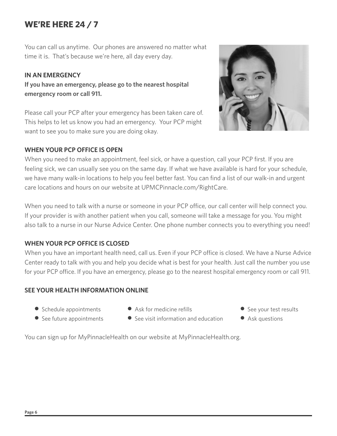## **WE'RE HERE 24 / 7**

You can call us anytime. Our phones are answered no matter what time it is. That's because we're here, all day every day.

#### **IN AN EMERGENCY**

**If you have an emergency, please go to the nearest hospital emergency room or call 911.** 

Please call your PCP after your emergency has been taken care of. This helps to let us know you had an emergency. Your PCP might want to see you to make sure you are doing okay.

#### **WHEN YOUR PCP OFFICE IS OPEN**



When you need to make an appointment, feel sick, or have a question, call your PCP first. If you are feeling sick, we can usually see you on the same day. If what we have available is hard for your schedule, we have many walk-in locations to help you feel better fast. You can find a list of our walk-in and urgent care locations and hours on our website at UPMCPinnacle.com/RightCare.

When you need to talk with a nurse or someone in your PCP office, our call center will help connect you. If your provider is with another patient when you call, someone will take a message for you. You might also talk to a nurse in our Nurse Advice Center. One phone number connects you to everything you need!

#### **WHEN YOUR PCP OFFICE IS CLOSED**

When you have an important health need, call us. Even if your PCP office is closed. We have a Nurse Advice Center ready to talk with you and help you decide what is best for your health. Just call the number you use for your PCP office. If you have an emergency, please go to the nearest hospital emergency room or call 911.

#### **SEE YOUR HEALTH INFORMATION ONLINE**

- Schedule appointments Ask for medicine refills See your test results
	-
- 
- See future appointments  $\bullet$  See visit information and education  $\bullet$  Ask questions
- -

You can sign up for MyPinnacleHealth on our website at MyPinnacleHealth.org.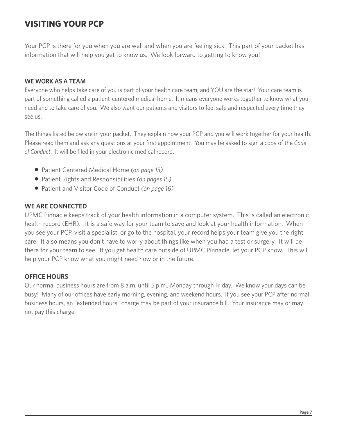## **VISITING YOUR PCP**

Your PCP is there for you when you are well and when you are feeling sick. This part of your packet has information that will help you get to know us. We look forward to getting to know you!

#### **WE WORK AS A TEAM**

Everyone who helps take care of you is part of your health care team, and YOU are the star! Your care team is part of something called a patient-centered medical home. It means everyone works together to know what you need and to take care of you. We also want our patients and visitors to feel safe and respected every time they see us.

The things listed below are in your packet. They explain how your PCP and you will work together for your health. Please read them and ask any questions at your first appointment. You may be asked to sign a copy of the *Code of Conduct*. It will be filed in your electronic medical record.

- Patient Centered Medical Home *(on page 13)*
- Patient Rights and Responsibilities *(on pages 15)*
- Patient and Visitor Code of Conduct *(on page 16)*

#### **WE ARE CONNECTED**

UPMC Pinnacle keeps track of your health information in a computer system. This is called an electronic health record (EHR). It is a safe way for your team to save and look at your health information. When you see your PCP, visit a specialist, or go to the hospital, your record helps your team give you the right care. It also means you don't have to worry about things like when you had a test or surgery. It will be there for your team to see. If you get health care outside of UPMC Pinnacle, let your PCP know. This will help your PCP know what you might need now or in the future.

#### **OFFICE HOURS**

Our normal business hours are from 8 a.m. until 5 p.m., Monday through Friday. We know your days can be busy! Many of our offices have early morning, evening, and weekend hours. If you see your PCP after normal business hours, an "extended hours" charge may be part of your insurance bill. Your insurance may or may not pay this charge.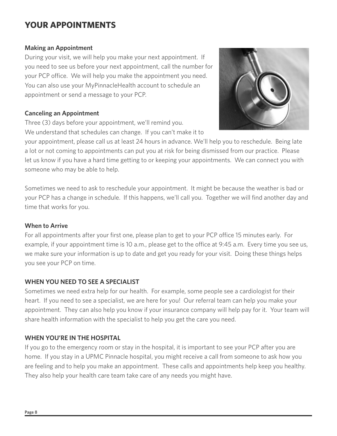## **YOUR APPOINTMENTS**

#### **Making an Appointment**

During your visit, we will help you make your next appointment. If you need to see us before your next appointment, call the number for your PCP office. We will help you make the appointment you need. You can also use your MyPinnacleHealth account to schedule an appointment or send a message to your PCP.

#### **Canceling an Appointment**

Three (3) days before your appointment, we'll remind you. We understand that schedules can change. If you can't make it to



your appointment, please call us at least 24 hours in advance. We'll help you to reschedule. Being late a lot or not coming to appointments can put you at risk for being dismissed from our practice. Please let us know if you have a hard time getting to or keeping your appointments. We can connect you with someone who may be able to help.

Sometimes we need to ask to reschedule your appointment. It might be because the weather is bad or your PCP has a change in schedule. If this happens, we'll call you. Together we will find another day and time that works for you.

#### **When to Arrive**

For all appointments after your first one, please plan to get to your PCP office 15 minutes early. For example, if your appointment time is 10 a.m., please get to the office at 9:45 a.m. Every time you see us, we make sure your information is up to date and get you ready for your visit. Doing these things helps you see your PCP on time.

#### **WHEN YOU NEED TO SEE A SPECIALIST**

Sometimes we need extra help for our health. For example, some people see a cardiologist for their heart. If you need to see a specialist, we are here for you! Our referral team can help you make your appointment. They can also help you know if your insurance company will help pay for it. Your team will share health information with the specialist to help you get the care you need.

#### **WHEN YOU'RE IN THE HOSPITAL**

If you go to the emergency room or stay in the hospital, it is important to see your PCP after you are home. If you stay in a UPMC Pinnacle hospital, you might receive a call from someone to ask how you are feeling and to help you make an appointment. These calls and appointments help keep you healthy. They also help your health care team take care of any needs you might have.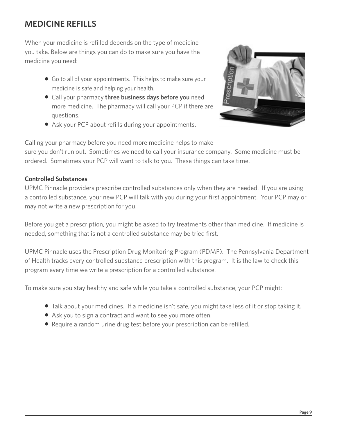## **MEDICINE REFILLS**

When your medicine is refilled depends on the type of medicine you take. Below are things you can do to make sure you have the medicine you need:

- Go to all of your appointments. This helps to make sure your medicine is safe and helping your health.
- **Call your pharmacy three business days before you** need more medicine. The pharmacy will call your PCP if there are questions.
- Ask your PCP about refills during your appointments.



Calling your pharmacy before you need more medicine helps to make

sure you don't run out. Sometimes we need to call your insurance company. Some medicine must be ordered. Sometimes your PCP will want to talk to you. These things can take time.

#### **Controlled Substances**

UPMC Pinnacle providers prescribe controlled substances only when they are needed. If you are using a controlled substance, your new PCP will talk with you during your first appointment. Your PCP may or may not write a new prescription for you.

Before you get a prescription, you might be asked to try treatments other than medicine. If medicine is needed, something that is not a controlled substance may be tried first.

UPMC Pinnacle uses the Prescription Drug Monitoring Program (PDMP). The Pennsylvania Department of Health tracks every controlled substance prescription with this program. It is the law to check this program every time we write a prescription for a controlled substance.

To make sure you stay healthy and safe while you take a controlled substance, your PCP might:

- Talk about your medicines. If a medicine isn't safe, you might take less of it or stop taking it.
- Ask you to sign a contract and want to see you more often.
- Require a random urine drug test before your prescription can be refilled.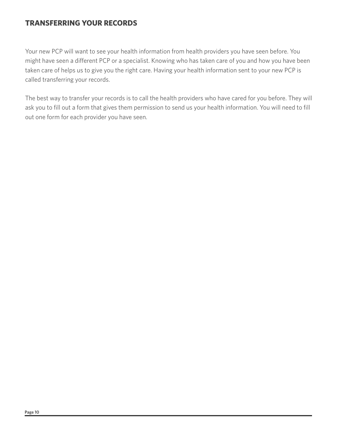#### **TRANSFERRING YOUR RECORDS**

Your new PCP will want to see your health information from health providers you have seen before. You might have seen a different PCP or a specialist. Knowing who has taken care of you and how you have been taken care of helps us to give you the right care. Having your health information sent to your new PCP is called transferring your records.

The best way to transfer your records is to call the health providers who have cared for you before. They will ask you to fill out a form that gives them permission to send us your health information. You will need to fill out one form for each provider you have seen.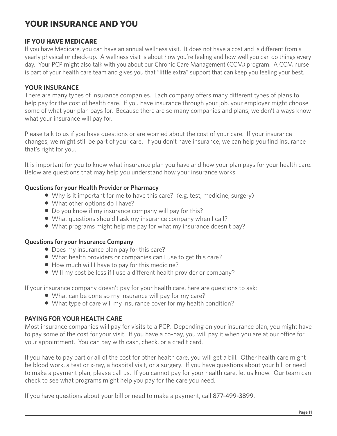## **YOUR INSURANCE AND YOU**

#### **IF YOU HAVE MEDICARE**

If you have Medicare, you can have an annual wellness visit. It does not have a cost and is different from a yearly physical or check-up. A wellness visit is about how you're feeling and how well you can do things every day. Your PCP might also talk with you about our Chronic Care Management (CCM) program. A CCM nurse is part of your health care team and gives you that "little extra" support that can keep you feeling your best.

#### **YOUR INSURANCE**

There are many types of insurance companies. Each company offers many different types of plans to help pay for the cost of health care. If you have insurance through your job, your employer might choose some of what your plan pays for. Because there are so many companies and plans, we don't always know what your insurance will pay for.

Please talk to us if you have questions or are worried about the cost of your care. If your insurance changes, we might still be part of your care. If you don't have insurance, we can help you find insurance that's right for you.

It is important for you to know what insurance plan you have and how your plan pays for your health care. Below are questions that may help you understand how your insurance works.

#### **Questions for your Health Provider or Pharmacy**

- Why is it important for me to have this care? (e.g. test, medicine, surgery)
- What other options do I have?
- Do you know if my insurance company will pay for this?
- What questions should I ask my insurance company when I call?
- What programs might help me pay for what my insurance doesn't pay?

#### **Questions for your Insurance Company**

- Does my insurance plan pay for this care?
- What health providers or companies can I use to get this care?
- How much will I have to pay for this medicine?
- Will my cost be less if I use a different health provider or company?

If your insurance company doesn't pay for your health care, here are questions to ask:

- What can be done so my insurance will pay for my care?
- What type of care will my insurance cover for my health condition?

#### **PAYING FOR YOUR HEALTH CARE**

Most insurance companies will pay for visits to a PCP. Depending on your insurance plan, you might have to pay some of the cost for your visit. If you have a co-pay, you will pay it when you are at our office for your appointment. You can pay with cash, check, or a credit card.

If you have to pay part or all of the cost for other health care, you will get a bill. Other health care might be blood work, a test or x-ray, a hospital visit, or a surgery. If you have questions about your bill or need to make a payment plan, please call us. If you cannot pay for your health care, let us know. Our team can check to see what programs might help you pay for the care you need.

If you have questions about your bill or need to make a payment, call 877-499-3899.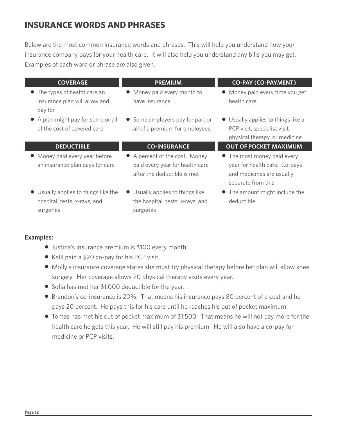## **INSURANCE WORDS AND PHRASES**

Below are the most common insurance words and phrases. This will help you understand how your insurance company pays for your health care. It will also help you understand any bills you may get. Examples of each word or phrase are also given.

| <b>COVERAGE</b>                                                                   | <b>PREMIUM</b>                                                                                   | <b>CO-PAY (CO-PAYMENT)</b>                                                                                      |
|-----------------------------------------------------------------------------------|--------------------------------------------------------------------------------------------------|-----------------------------------------------------------------------------------------------------------------|
| • The types of health care an<br>insurance plan will allow and<br>pay for         | • Money paid every month to<br>have insurance                                                    | • Money paid every time you get<br>health care                                                                  |
| • A plan might pay for some or all<br>of the cost of covered care                 | • Some employers pay for part or<br>all of a premium for employees                               | • Usually applies to things like a<br>PCP visit, specialist visit,<br>physical therapy, or medicine             |
| <b>DEDUCTIBLE</b>                                                                 | <b>CO-INSURANCE</b>                                                                              | <b>OUT OF POCKET MAXIMUM</b>                                                                                    |
| • Money paid every year before<br>an insurance plan pays for care                 | • A percent of the cost. Money<br>paid every year for health care<br>after the deductible is met | • The most money paid every<br>year for health care. Co-pays<br>and medicines are usually<br>separate from this |
| • Usually applies to things like the<br>hospital, tests, x-rays, and<br>surgeries | • Usually applies to things like<br>the hospital, tests, x-rays, and<br>surgeries                | • The amount might include the<br>deductible                                                                    |

#### **Examples:**

- Justine's insurance premium is \$100 every month.
- Kalil paid a \$20 co-pay for his PCP visit.
- Molly's insurance coverage states she must try physical therapy before her plan will allow knee surgery. Her coverage allows 20 physical therapy visits every year.
- Sofia has met her \$1,000 deductible for the year.
- Brandon's co-insurance is 20%. That means his insurance pays 80 percent of a cost and he pays 20 percent. He pays this for his care until he reaches his out of pocket maximum.
- Tomas has met his out of pocket maximum of \$1,500. That means he will not pay more for the health care he gets this year. He will still pay his premium. He will also have a co-pay for medicine or PCP visits.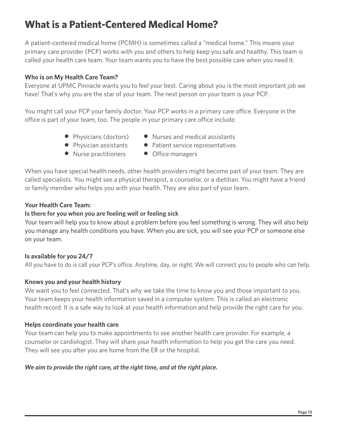## **What is a Patient-Centered Medical Home?**

A patient-centered medical home (PCMH) is sometimes called a "medical home." This means your primary care provider (PCP) works with you and others to help keep you safe and healthy. This team is called your health care team. Your team wants you to have the best possible care when you need it.

#### **Who is on My Health Care Team?**

Everyone at UPMC Pinnacle wants you to feel your best. Caring about you is the most important job we have! That's why you are the star of your team. The next person on your team is your PCP.

You might call your PCP your family doctor. Your PCP works in a primary care office. Everyone in the office is part of your team, too. The people in your primary care office include:

- 
- 
- Nurse practitioners Office managers
- Physicians (doctors) Nurses and medical assistants
- Physician assistants Patient service representatives
	-

When you have special health needs, other health providers might become part of your team. They are called specialists. You might see a physical therapist, a counselor, or a dietitian. You might have a friend or family member who helps you with your health. They are also part of your team.

#### **Your Health Care Team:**

#### **Is there for you when you are feeling well or feeling sick**

Your team will help you to know about a problem before you feel something is wrong. They will also help you manage any health conditions you have. When you are sick, you will see your PCP or someone else on your team.

#### **Is available for you 24/7**

All you have to do is call your PCP's office. Anytime, day, or night. We will connect you to people who can help.

#### **Knows you and your health history**

We want you to feel connected. That's why we take the time to know you and those important to you. Your team keeps your health information saved in a computer system. This is called an electronic health record. It is a safe way to look at your health information and help provide the right care for you.

#### **Helps coordinate your health care**

Your team can help you to make appointments to see another health care provider. For example, a counselor or cardiologist. They will share your health information to help you get the care you need. They will see you after you are home from the ER or the hospital.

#### *We aim to provide the right care, at the right time, and at the right place.*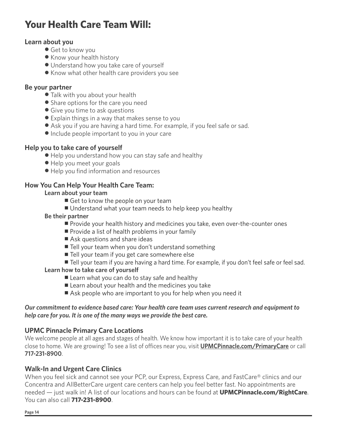## **Your Health Care Team Will:**

#### **Learn about you**

- Get to know you
- Know your health history
- Understand how you take care of yourself
- Know what other health care providers you see

#### **Be your partner**

- Talk with you about your health
- Share options for the care you need
- Give you time to ask questions
- Explain things in a way that makes sense to you
- Ask you if you are having a hard time. For example, if you feel safe or sad.
- Include people important to you in your care

#### **Help you to take care of yourself**

- Help you understand how you can stay safe and healthy
- $\bullet$  Help you meet your goals
- $\bullet$  Help you find information and resources

#### **How You Can Help Your Health Care Team:**

#### **Learn about your team**

- Get to know the people on your team
- Understand what your team needs to help keep you healthy

#### **Be their partner**

- **Provide your health history and medicines you take, even over-the-counter ones**
- $\blacksquare$  Provide a list of health problems in your family
- Ask questions and share ideas
- Tell your team when you don't understand something
- Tell your team if you get care somewhere else
- Tell your team if you are having a hard time. For example, if you don't feel safe or feel sad.

#### **Learn how to take care of yourself**

- Learn what you can do to stay safe and healthy
- Learn about your health and the medicines you take
- Ask people who are important to you for help when you need it

#### *Our commitment to evidence based care: Your health care team uses current research and equipment to help care for you. It is one of the many ways we provide the best care.*

#### **UPMC Pinnacle Primary Care Locations**

We welcome people at all ages and stages of health. We know how important it is to take care of your health close to home. We are growing! To see a list of offices near you, visit **UPMCPinnacle.com/PrimaryCare** or call **717-231-8900**.

#### **Walk-In and Urgent Care Clinics**

When you feel sick and cannot see your PCP, our Express, Express Care, and FastCare® clinics and our Concentra and AllBetterCare urgent care centers can help you feel better fast. No appointments are needed — just walk in! A list of our locations and hours can be found at **UPMCPinnacle.com/RightCare**. You can also call **717-231-8900**.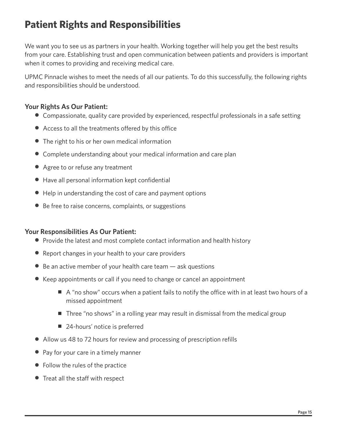## **Patient Rights and Responsibilities**

We want you to see us as partners in your health. Working together will help you get the best results from your care. Establishing trust and open communication between patients and providers is important when it comes to providing and receiving medical care.

UPMC Pinnacle wishes to meet the needs of all our patients. To do this successfully, the following rights and responsibilities should be understood.

#### **Your Rights As Our Patient:**

- Compassionate, quality care provided by experienced, respectful professionals in a safe setting
- Access to all the treatments offered by this office
- $\bullet$  The right to his or her own medical information
- Complete understanding about your medical information and care plan
- Agree to or refuse any treatment
- $\bullet$  Have all personal information kept confidential
- Help in understanding the cost of care and payment options
- $\bullet$  Be free to raise concerns, complaints, or suggestions

#### **Your Responsibilities As Our Patient:**

- Provide the latest and most complete contact information and health history
- Report changes in your health to your care providers
- $\bullet$  Be an active member of your health care team  $-$  ask questions
- $\bullet$  Keep appointments or call if you need to change or cancel an appointment
	- $\blacksquare$  A "no show" occurs when a patient fails to notify the office with in at least two hours of a missed appointment
	- $\blacksquare$  Three "no shows" in a rolling year may result in dismissal from the medical group
	- 24-hours' notice is preferred
- Allow us 48 to 72 hours for review and processing of prescription refills
- $\bullet$  Pay for your care in a timely manner
- $\bullet$  Follow the rules of the practice
- $\bullet$  Treat all the staff with respect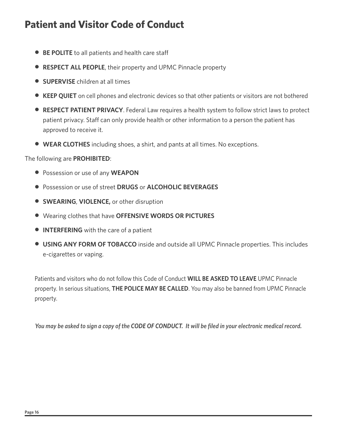## **Patient and Visitor Code of Conduct**

- **BE POLITE** to all patients and health care staff
- **RESPECT ALL PEOPLE**, their property and UPMC Pinnacle property
- **SUPERVISE** children at all times
- KEEP QUIET on cell phones and electronic devices so that other patients or visitors are not bothered
- **RESPECT PATIENT PRIVACY**. Federal Law requires a health system to follow strict laws to protect patient privacy. Staff can only provide health or other information to a person the patient has approved to receive it.
- **WEAR CLOTHES** including shoes, a shirt, and pants at all times. No exceptions.

The following are **PROHIBITED**:

- **Possession or use of any WEAPON**
- z Possession or use of street **DRUGS** or **ALCOHOLIC BEVERAGES**
- **SWEARING, VIOLENCE, or other disruption**
- z Wearing clothes that have **OFFENSIVE WORDS OR PICTURES**
- **INTERFERING** with the care of a patient
- **USING ANY FORM OF TOBACCO** inside and outside all UPMC Pinnacle properties. This includes e-cigarettes or vaping.

 Patients and visitors who do not follow this Code of Conduct **WILL BE ASKED TO LEAVE** UPMC Pinnacle property. In serious situations, **THE POLICE MAY BE CALLED**. You may also be banned from UPMC Pinnacle property.

*You may be asked to sign a copy of the CODE OF CONDUCT. It will be filed in your electronic medical record.*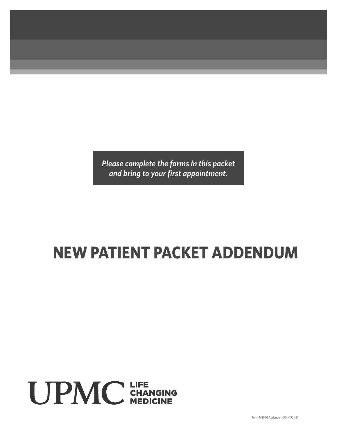*Please complete the forms in this packet* and bring to your first appointment.

## **NEW PATIENT PACKET ADDENDUM**

# **UPMC** CHANGING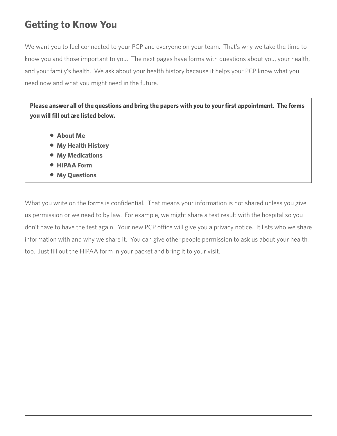## **Getting to Know You**

We want you to feel connected to your PCP and everyone on your team. That's why we take the time to know you and those important to you. The next pages have forms with questions about you, your health, and your family's health. We ask about your health history because it helps your PCP know what you need now and what you might need in the future.

Please answer all of the questions and bring the papers with you to your first appointment. The forms **you will fill out are listed below.** 

- **About Me**
- **My Health History**
- **My Medications**
- $\bullet$  **HIPAA Form**
- **My Questions**

What you write on the forms is confidential. That means your information is not shared unless you give us permission or we need to by law. For example, we might share a test result with the hospital so you don't have to have the test again. Your new PCP office will give you a privacy notice. It lists who we share information with and why we share it. You can give other people permission to ask us about your health, too. Just fill out the HIPAA form in your packet and bring it to your visit.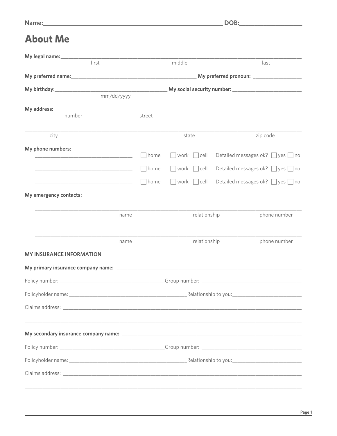## **About Me**

| first                                                                                                                  |             | middle                          |  | last                                       |  |  |  |  |  |
|------------------------------------------------------------------------------------------------------------------------|-------------|---------------------------------|--|--------------------------------------------|--|--|--|--|--|
|                                                                                                                        |             |                                 |  |                                            |  |  |  |  |  |
|                                                                                                                        |             |                                 |  |                                            |  |  |  |  |  |
| mm/dd/yyyy                                                                                                             |             |                                 |  |                                            |  |  |  |  |  |
|                                                                                                                        |             |                                 |  |                                            |  |  |  |  |  |
| number                                                                                                                 | street      |                                 |  |                                            |  |  |  |  |  |
| city                                                                                                                   |             | state                           |  | zip code                                   |  |  |  |  |  |
| My phone numbers:                                                                                                      |             |                                 |  |                                            |  |  |  |  |  |
| <u> 1990 - Jan James James Barbara, martin d</u>                                                                       | home        | $\sqrt{w}$ work $\sqrt{w}$ cell |  | Detailed messages ok? $\Box$ yes $\Box$ no |  |  |  |  |  |
|                                                                                                                        | $\Box$ home | $\Box$ work $\Box$ cell         |  | Detailed messages ok? $\Box$ yes $\Box$ no |  |  |  |  |  |
| <u> 1980 - Johann John Stone, mars et al. 1980 - John Stone, mars et al. 1980 - John Stone, mars et al. 1980 - Joh</u> | $\Box$ home | $\Box$ work $\Box$ cell         |  | Detailed messages ok? $\Box$ yes $\Box$ no |  |  |  |  |  |
| My emergency contacts:                                                                                                 |             |                                 |  |                                            |  |  |  |  |  |
| name                                                                                                                   |             | relationship                    |  | phone number                               |  |  |  |  |  |
|                                                                                                                        |             |                                 |  |                                            |  |  |  |  |  |
| name                                                                                                                   |             | relationship                    |  | phone number                               |  |  |  |  |  |
| <b>MY INSURANCE INFORMATION</b>                                                                                        |             |                                 |  |                                            |  |  |  |  |  |
|                                                                                                                        |             |                                 |  |                                            |  |  |  |  |  |
|                                                                                                                        |             |                                 |  |                                            |  |  |  |  |  |
|                                                                                                                        |             |                                 |  |                                            |  |  |  |  |  |
|                                                                                                                        |             |                                 |  |                                            |  |  |  |  |  |
|                                                                                                                        |             |                                 |  |                                            |  |  |  |  |  |
|                                                                                                                        |             |                                 |  |                                            |  |  |  |  |  |
|                                                                                                                        |             |                                 |  |                                            |  |  |  |  |  |
|                                                                                                                        |             |                                 |  |                                            |  |  |  |  |  |
|                                                                                                                        |             |                                 |  |                                            |  |  |  |  |  |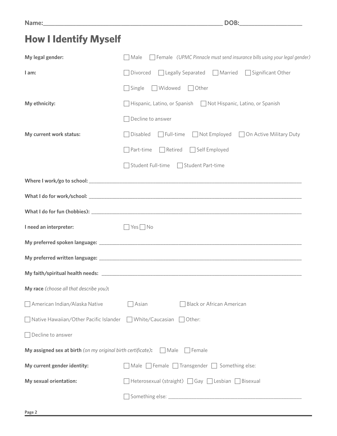## **How I Identify Myself**

| My legal gender:                                             | □ Female (UPMC Pinnacle must send insurance bills using your legal gender)<br>$\Box$ Male |
|--------------------------------------------------------------|-------------------------------------------------------------------------------------------|
| I am:                                                        | $\Box$ Legally Separated $\Box$ Married<br>$\Box$ Significant Other<br>Divorced           |
|                                                              | □ Widowed □ Other<br>$\Box$ Single                                                        |
| My ethnicity:                                                | □ Hispanic, Latino, or Spanish □ Not Hispanic, Latino, or Spanish                         |
|                                                              | Decline to answer                                                                         |
| My current work status:                                      | □ Disabled □ Full-time □ Not Employed □ On Active Military Duty                           |
|                                                              | Retired Self Employed<br>$\Box$ Part-time                                                 |
|                                                              | Student Full-time □ Student Part-time                                                     |
|                                                              |                                                                                           |
|                                                              |                                                                                           |
|                                                              |                                                                                           |
| I need an interpreter:                                       | $\Box$ Yes $\Box$ No                                                                      |
|                                                              |                                                                                           |
|                                                              |                                                                                           |
|                                                              |                                                                                           |
| My race (choose all that describe you):                      |                                                                                           |
| American Indian/Alaska Native                                | <b>Black or African American</b><br>Asian                                                 |
| Native Hawaiian/Other Pacific Islander                       | $\Box$ White/Caucasian<br>Other:                                                          |
| $\Box$ Decline to answer                                     |                                                                                           |
| My assigned sex at birth (on my original birth certificate): | Male<br>  Female                                                                          |
| My current gender identity:                                  | $\Box$ Male $\Box$ Female $\Box$ Transgender $\Box$ Something else:                       |
| My sexual orientation:                                       | $\Box$ Heterosexual (straight) $\Box$ Gay $\Box$ Lesbian $\Box$ Bisexual                  |
|                                                              |                                                                                           |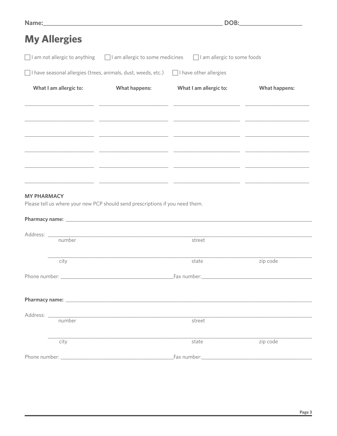| <b>My Allergies</b>                                                                                 |                                                                                                                      |                                                                                                                       |                      |
|-----------------------------------------------------------------------------------------------------|----------------------------------------------------------------------------------------------------------------------|-----------------------------------------------------------------------------------------------------------------------|----------------------|
|                                                                                                     |                                                                                                                      | $\Box$ I am not allergic to anything $\Box$ I am allergic to some medicines $\Box$ I am allergic to some foods        |                      |
| $\Box$ I have seasonal allergies (trees, animals, dust, weeds, etc.) $\Box$ I have other allergies  |                                                                                                                      |                                                                                                                       |                      |
| What I am allergic to:                                                                              | What happens:                                                                                                        | What I am allergic to:                                                                                                | <b>What happens:</b> |
|                                                                                                     |                                                                                                                      |                                                                                                                       |                      |
|                                                                                                     |                                                                                                                      |                                                                                                                       |                      |
|                                                                                                     |                                                                                                                      |                                                                                                                       |                      |
|                                                                                                     |                                                                                                                      | <u> 1999 - Jan James James, mars and de la component de la componenta de la componenta de la componenta de la com</u> |                      |
|                                                                                                     |                                                                                                                      |                                                                                                                       |                      |
| <b>MY PHARMACY</b><br>Please tell us where your new PCP should send prescriptions if you need them. |                                                                                                                      |                                                                                                                       |                      |
|                                                                                                     |                                                                                                                      |                                                                                                                       |                      |
|                                                                                                     |                                                                                                                      |                                                                                                                       |                      |
|                                                                                                     |                                                                                                                      | street                                                                                                                |                      |
| city                                                                                                |                                                                                                                      | state                                                                                                                 | zip code             |
|                                                                                                     |                                                                                                                      |                                                                                                                       |                      |
|                                                                                                     |                                                                                                                      |                                                                                                                       |                      |
|                                                                                                     |                                                                                                                      |                                                                                                                       |                      |
| number                                                                                              | <u> 1989 - Johann John Stone, markin film yn y brenin y brenin y brenin y brenin y brenin y brenin y brenin y br</u> | street                                                                                                                |                      |
| city                                                                                                |                                                                                                                      | state                                                                                                                 | zip code             |
|                                                                                                     |                                                                                                                      |                                                                                                                       |                      |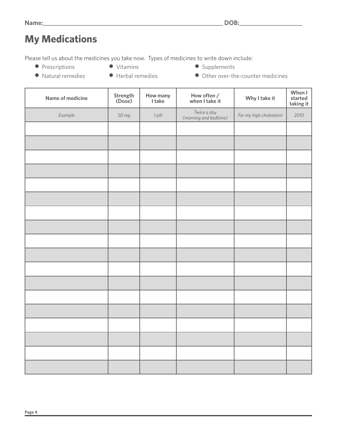## **My Medications**

Please tell us about the medicines you take now. Types of medicines to write down include:

- Prescriptions Vitamins Supplements
- 
- 
- Natural remedies Herbal remedies Other over-the-counter medicines
	-
- 

| Name of medicine | Strength<br>(Dose) | How many<br>I take | How often /<br>when I take it        | Why I take it           | When I<br>started<br>taking it |
|------------------|--------------------|--------------------|--------------------------------------|-------------------------|--------------------------------|
| Example          | 50 mg              | 1 pill             | Twice a day<br>(morning and bedtime) | For my high cholesterol | 2010                           |
|                  |                    |                    |                                      |                         |                                |
|                  |                    |                    |                                      |                         |                                |
|                  |                    |                    |                                      |                         |                                |
|                  |                    |                    |                                      |                         |                                |
|                  |                    |                    |                                      |                         |                                |
|                  |                    |                    |                                      |                         |                                |
|                  |                    |                    |                                      |                         |                                |
|                  |                    |                    |                                      |                         |                                |
|                  |                    |                    |                                      |                         |                                |
|                  |                    |                    |                                      |                         |                                |
|                  |                    |                    |                                      |                         |                                |
|                  |                    |                    |                                      |                         |                                |
|                  |                    |                    |                                      |                         |                                |
|                  |                    |                    |                                      |                         |                                |
|                  |                    |                    |                                      |                         |                                |
|                  |                    |                    |                                      |                         |                                |
|                  |                    |                    |                                      |                         |                                |
|                  |                    |                    |                                      |                         |                                |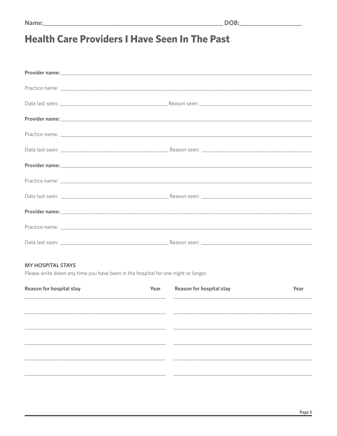## **Health Care Providers I Have Seen In The Past**

#### **MY HOSPITAL STAYS**

Please write down any time you have been in the hospital for one night or longer.

| Reason for hospital stay |  | Reason for hospital stay | Year |
|--------------------------|--|--------------------------|------|
|                          |  |                          |      |
|                          |  |                          |      |
|                          |  |                          |      |
|                          |  |                          |      |
|                          |  |                          |      |
|                          |  |                          |      |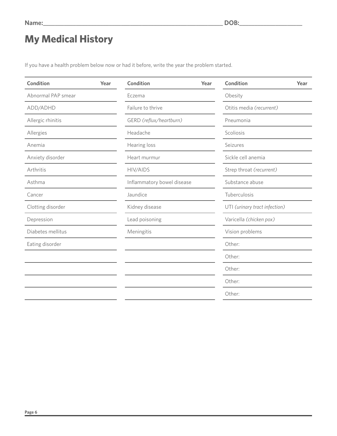## **My Medical History**

If you have a health problem below now or had it before, write the year the problem started.

| <b>Condition</b>   | Year | <b>Condition</b>           | Year | Condition                     | Year |
|--------------------|------|----------------------------|------|-------------------------------|------|
| Abnormal PAP smear |      | Eczema                     |      | Obesity                       |      |
| ADD/ADHD           |      | Failure to thrive          |      | Otitis media (recurrent)      |      |
| Allergic rhinitis  |      | GERD (reflux/heartburn)    |      | Pneumonia                     |      |
| Allergies          |      | Headache                   |      | Scoliosis                     |      |
| Anemia             |      | Hearing loss               |      | Seizures                      |      |
| Anxiety disorder   |      | Heart murmur               |      | Sickle cell anemia            |      |
| Arthritis          |      | <b>HIV/AIDS</b>            |      | Strep throat (recurrent)      |      |
| Asthma             |      | Inflammatory bowel disease |      | Substance abuse               |      |
| Cancer             |      | Jaundice                   |      | Tuberculosis                  |      |
| Clotting disorder  |      | Kidney disease             |      | UTI (urinary tract infection) |      |
| Depression         |      | Lead poisoning             |      | Varicella (chicken pox)       |      |
| Diabetes mellitus  |      | Meningitis                 |      | Vision problems               |      |
| Eating disorder    |      |                            |      | Other:                        |      |
|                    |      |                            |      | Other:                        |      |
|                    |      |                            |      | Other:                        |      |
|                    |      |                            |      | Other:                        |      |
|                    |      |                            |      | Other:                        |      |
|                    |      |                            |      |                               |      |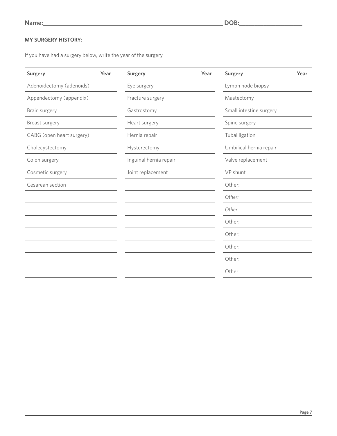#### **MY SURGERY HISTORY:**

If you have had a surgery below, write the year of the surgery

| <b>Surgery</b>         | Year | <b>Surgery</b>          | Year             |  |  |  |
|------------------------|------|-------------------------|------------------|--|--|--|
| Eye surgery            |      | Lymph node biopsy       |                  |  |  |  |
| Fracture surgery       |      | Mastectomy              |                  |  |  |  |
| Gastrostomy            |      | Small intestine surgery |                  |  |  |  |
| Heart surgery          |      | Spine surgery           |                  |  |  |  |
| Hernia repair          |      | Tubal ligation          |                  |  |  |  |
| Hysterectomy           |      | Umbilical hernia repair |                  |  |  |  |
| Inguinal hernia repair |      | Valve replacement       |                  |  |  |  |
| Joint replacement      |      | VP shunt                |                  |  |  |  |
|                        |      | Other:                  |                  |  |  |  |
|                        |      | Other:                  |                  |  |  |  |
|                        |      |                         |                  |  |  |  |
|                        |      |                         |                  |  |  |  |
|                        |      | Other:                  |                  |  |  |  |
|                        |      | Other:                  |                  |  |  |  |
|                        |      | Other:                  |                  |  |  |  |
|                        |      | Other:                  |                  |  |  |  |
|                        | Year |                         | Other:<br>Other: |  |  |  |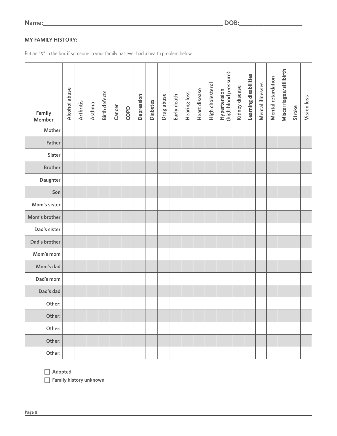**Name:\_\_\_\_\_\_\_\_\_\_\_\_\_\_\_\_\_\_\_\_\_\_\_\_\_\_\_\_\_\_\_\_\_\_\_\_\_\_\_\_\_\_\_\_\_\_\_\_\_\_\_\_\_\_\_\_\_\_\_\_ DOB:\_\_\_\_\_\_\_\_\_\_\_\_\_\_\_\_\_\_\_\_\_**

#### **MY FAMILY HISTORY:**

Put an "X" in the box if someone in your family has ever had a health problem below.

| Family<br><b>Member</b> | Alcohol abuse | <b>Arthritis</b> | Asthma | <b>Birth defects</b> | Cancer | COPD | Depression | <b>Diabetes</b> | Drug abuse | Early death | Hearing loss | Heart disease | High cholesterol | (high blood pressure)<br>Hypertension | Kidney disease | Learning disabilities | Mental illnesses | Mental retardation | Miscarriages/stillbirth | Stroke | Vision loss |
|-------------------------|---------------|------------------|--------|----------------------|--------|------|------------|-----------------|------------|-------------|--------------|---------------|------------------|---------------------------------------|----------------|-----------------------|------------------|--------------------|-------------------------|--------|-------------|
| Mother                  |               |                  |        |                      |        |      |            |                 |            |             |              |               |                  |                                       |                |                       |                  |                    |                         |        |             |
| <b>Father</b>           |               |                  |        |                      |        |      |            |                 |            |             |              |               |                  |                                       |                |                       |                  |                    |                         |        |             |
| <b>Sister</b>           |               |                  |        |                      |        |      |            |                 |            |             |              |               |                  |                                       |                |                       |                  |                    |                         |        |             |
| <b>Brother</b>          |               |                  |        |                      |        |      |            |                 |            |             |              |               |                  |                                       |                |                       |                  |                    |                         |        |             |
| Daughter                |               |                  |        |                      |        |      |            |                 |            |             |              |               |                  |                                       |                |                       |                  |                    |                         |        |             |
| Son                     |               |                  |        |                      |        |      |            |                 |            |             |              |               |                  |                                       |                |                       |                  |                    |                         |        |             |
| Mom's sister            |               |                  |        |                      |        |      |            |                 |            |             |              |               |                  |                                       |                |                       |                  |                    |                         |        |             |
| Mom's brother           |               |                  |        |                      |        |      |            |                 |            |             |              |               |                  |                                       |                |                       |                  |                    |                         |        |             |
| Dad's sister            |               |                  |        |                      |        |      |            |                 |            |             |              |               |                  |                                       |                |                       |                  |                    |                         |        |             |
| Dad's brother           |               |                  |        |                      |        |      |            |                 |            |             |              |               |                  |                                       |                |                       |                  |                    |                         |        |             |
| Mom's mom               |               |                  |        |                      |        |      |            |                 |            |             |              |               |                  |                                       |                |                       |                  |                    |                         |        |             |
| Mom's dad               |               |                  |        |                      |        |      |            |                 |            |             |              |               |                  |                                       |                |                       |                  |                    |                         |        |             |
| Dad's mom               |               |                  |        |                      |        |      |            |                 |            |             |              |               |                  |                                       |                |                       |                  |                    |                         |        |             |
| Dad's dad               |               |                  |        |                      |        |      |            |                 |            |             |              |               |                  |                                       |                |                       |                  |                    |                         |        |             |
| Other:                  |               |                  |        |                      |        |      |            |                 |            |             |              |               |                  |                                       |                |                       |                  |                    |                         |        |             |
| Other:                  |               |                  |        |                      |        |      |            |                 |            |             |              |               |                  |                                       |                |                       |                  |                    |                         |        |             |
| Other:                  |               |                  |        |                      |        |      |            |                 |            |             |              |               |                  |                                       |                |                       |                  |                    |                         |        |             |
| Other:                  |               |                  |        |                      |        |      |            |                 |            |             |              |               |                  |                                       |                |                       |                  |                    |                         |        |             |
| Other:                  |               |                  |        |                      |        |      |            |                 |            |             |              |               |                  |                                       |                |                       |                  |                    |                         |        |             |

F **Adopted**

 $\Box$  Family history unknown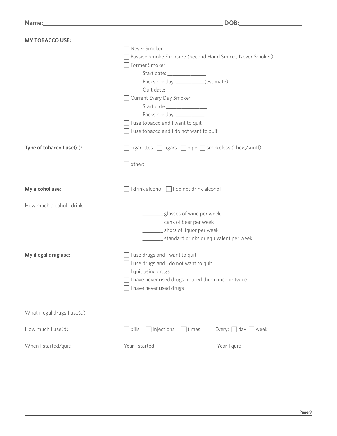| <b>MY TOBACCO USE:</b>    |                                                                                  |                               |  |  |
|---------------------------|----------------------------------------------------------------------------------|-------------------------------|--|--|
|                           | Never Smoker                                                                     |                               |  |  |
|                           | Passive Smoke Exposure (Second Hand Smoke; Never Smoker)                         |                               |  |  |
|                           | Former Smoker                                                                    |                               |  |  |
|                           |                                                                                  |                               |  |  |
|                           | Packs per day: __________(estimate)                                              |                               |  |  |
|                           |                                                                                  |                               |  |  |
|                           | Current Every Day Smoker                                                         |                               |  |  |
|                           | Start date:__________________                                                    |                               |  |  |
|                           | Packs per day: ___________                                                       |                               |  |  |
|                           | I use tobacco and I want to quit                                                 |                               |  |  |
|                           | I use tobacco and I do not want to quit                                          |                               |  |  |
| Type of tobacco I use(d): | $\Box$ cigarettes $\Box$ cigars $\Box$ pipe $\Box$ smokeless (chew/snuff)        |                               |  |  |
|                           | $\exists$ other:                                                                 |                               |  |  |
| My alcohol use:           | $\exists$ I drink alcohol $\Box$ I do not drink alcohol                          |                               |  |  |
| How much alcohol I drink: |                                                                                  |                               |  |  |
|                           | __________ glasses of wine per week                                              |                               |  |  |
|                           | cans of beer per week                                                            |                               |  |  |
|                           | __________ shots of liquor per week                                              |                               |  |  |
|                           | standard drinks or equivalent per week                                           |                               |  |  |
| My illegal drug use:      | I use drugs and I want to quit                                                   |                               |  |  |
|                           | I use drugs and I do not want to quit                                            |                               |  |  |
|                           | I quit using drugs                                                               |                               |  |  |
|                           | I have never used drugs or tried them once or twice                              |                               |  |  |
|                           | I have never used drugs                                                          |                               |  |  |
|                           |                                                                                  |                               |  |  |
|                           |                                                                                  |                               |  |  |
| How much I use(d):        | $\Box$ injections<br>$\Box$ times<br>$\exists$ pills                             | Every: $\Box$ day $\Box$ week |  |  |
| When I started/quit:      | Year I started: ______________________________Year I quit: _____________________ |                               |  |  |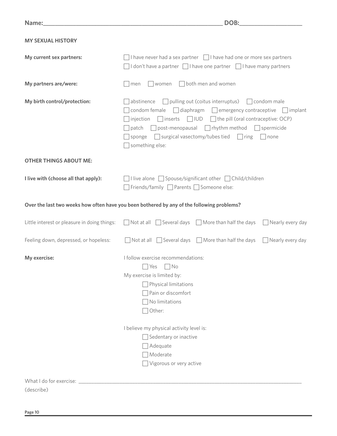| Name:                                        | DOB:                                                                                                                                                                                                                                                                                                                                                                                                                 |  |  |  |  |
|----------------------------------------------|----------------------------------------------------------------------------------------------------------------------------------------------------------------------------------------------------------------------------------------------------------------------------------------------------------------------------------------------------------------------------------------------------------------------|--|--|--|--|
| <b>MY SEXUAL HISTORY</b>                     |                                                                                                                                                                                                                                                                                                                                                                                                                      |  |  |  |  |
| My current sex partners:                     | $\Box$ I have never had a sex partner $\Box$ I have had one or more sex partners<br>$\vert$ I don't have a partner $\vert \vert$ I have one partner $\vert \vert$ I have many partners                                                                                                                                                                                                                               |  |  |  |  |
| My partners are/were:                        | $\Box$ both men and women<br>women<br>men                                                                                                                                                                                                                                                                                                                                                                            |  |  |  |  |
| My birth control/protection:                 | abstinence<br>$\Box$ pulling out (coitus interruptus) $\Box$ condom male<br>condom female $\Box$ diaphragm $\Box$ emergency contraceptive $\Box$ implant<br>injection $\Box$ inserts $\Box$ IUD $\Box$ the pill (oral contraceptive: OCP)<br>$\Box$ post-menopausal $\Box$ rhythm method $\Box$ spermicide<br>patch<br>$\Box$ surgical vasectomy/tubes tied $\Box$ ring<br>$\vert$ none<br>sponge<br>something else: |  |  |  |  |
| <b>OTHER THINGS ABOUT ME:</b>                |                                                                                                                                                                                                                                                                                                                                                                                                                      |  |  |  |  |
| I live with (choose all that apply):         | $\vert$ I live alone $\Box$ Spouse/significant other $\Box$ Child/children<br>Friends/family <u>Parents</u> Someone else:                                                                                                                                                                                                                                                                                            |  |  |  |  |
|                                              | Over the last two weeks how often have you been bothered by any of the following problems?                                                                                                                                                                                                                                                                                                                           |  |  |  |  |
| Little interest or pleasure in doing things: | $\Box$ Not at all $\Box$ Several days $\Box$ More than half the days $\Box$ Nearly every day                                                                                                                                                                                                                                                                                                                         |  |  |  |  |
| Feeling down, depressed, or hopeless:        | $\Box$ Not at all $\Box$ Several days $\Box$ More than half the days $\Box$ Nearly every day                                                                                                                                                                                                                                                                                                                         |  |  |  |  |
| My exercise:                                 | I follow exercise recommendations:<br>$\Box$ No<br>$\Box$ Yes<br>My exercise is limited by:<br>$\Box$ Physical limitations<br>Pain or discomfort<br>$\Box$ No limitations<br>Other:                                                                                                                                                                                                                                  |  |  |  |  |
|                                              | I believe my physical activity level is:<br>Sedentary or inactive<br>Adequate<br>Moderate<br>Vigorous or very active                                                                                                                                                                                                                                                                                                 |  |  |  |  |
| (describe)                                   |                                                                                                                                                                                                                                                                                                                                                                                                                      |  |  |  |  |
|                                              |                                                                                                                                                                                                                                                                                                                                                                                                                      |  |  |  |  |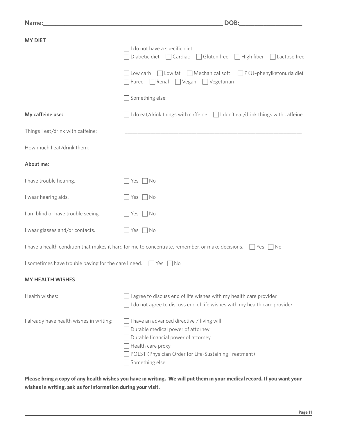| <b>MY DIET</b>                                                            | I do not have a specific diet<br>Diabetic diet $\Box$ Cardiac $\Box$ Gluten free $\Box$ High fiber $\Box$ Lactose free                                                                                                  |  |  |  |
|---------------------------------------------------------------------------|-------------------------------------------------------------------------------------------------------------------------------------------------------------------------------------------------------------------------|--|--|--|
|                                                                           | $\Box$ Low carb $\Box$ Low fat $\Box$ Mechanical soft $\Box$ PKU-phenylketonuria diet<br>$\Box$ Puree $\Box$ Renal $\Box$ Vegan $\Box$ Vegetarian                                                                       |  |  |  |
|                                                                           | $\Box$ Something else:                                                                                                                                                                                                  |  |  |  |
| My caffeine use:                                                          | $\Box$ I do eat/drink things with caffeine $\Box$ I don't eat/drink things with caffeine                                                                                                                                |  |  |  |
| Things I eat/drink with caffeine:                                         | <u> 1989 - Johann Stoff, amerikansk politiker (d. 1989)</u>                                                                                                                                                             |  |  |  |
| How much I eat/drink them:                                                |                                                                                                                                                                                                                         |  |  |  |
| About me:                                                                 |                                                                                                                                                                                                                         |  |  |  |
| I have trouble hearing.                                                   | Yes     No                                                                                                                                                                                                              |  |  |  |
| I wear hearing aids.                                                      | No Nes                                                                                                                                                                                                                  |  |  |  |
| I am blind or have trouble seeing.                                        | Yes     No                                                                                                                                                                                                              |  |  |  |
| I wear glasses and/or contacts.                                           | $\Box$ Yes $\Box$ No                                                                                                                                                                                                    |  |  |  |
|                                                                           | I have a health condition that makes it hard for me to concentrate, remember, or make decisions. $\Box$ Yes $\Box$ No                                                                                                   |  |  |  |
| I sometimes have trouble paying for the care I need. $\Box$ Yes $\Box$ No |                                                                                                                                                                                                                         |  |  |  |
| <b>MY HEALTH WISHES</b>                                                   |                                                                                                                                                                                                                         |  |  |  |
| Health wishes:                                                            | $\lceil$ l agree to discuss end of life wishes with my health care provider<br>do not agree to discuss end of life wishes with my health care provider                                                                  |  |  |  |
| I already have health wishes in writing:                                  | I have an advanced directive / living will<br>Durable medical power of attorney<br>Durable financial power of attorney<br>Health care proxy<br>POLST (Physician Order for Life-Sustaining Treatment)<br>Something else: |  |  |  |

**Please bring a copy of any health wishes you have in writing. We will put them in your medical record. If you want your wishes in writing, ask us for information during your visit.**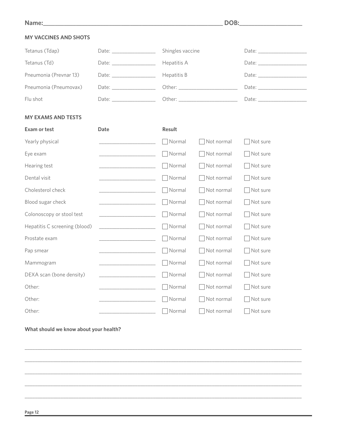#### **MY VACCINES AND SHOTS**

| Tetanus (Tdap)         | Date: ____________________                                                                                                                                                                                                     | Shingles vaccine | Date: the contract of the contract of the contract of the contract of the contract of the contract of the contract of the contract of the contract of the contract of the contract of the contract of the contract of the cont |
|------------------------|--------------------------------------------------------------------------------------------------------------------------------------------------------------------------------------------------------------------------------|------------------|--------------------------------------------------------------------------------------------------------------------------------------------------------------------------------------------------------------------------------|
| Tetanus (Td)           |                                                                                                                                                                                                                                | Hepatitis A      | Date: and the same state of the state of the state of the state of the state of the state of the state of the state of the state of the state of the state of the state of the state of the state of the state of the state of |
| Pneumonia (Prevnar 13) |                                                                                                                                                                                                                                | Hepatitis B      | Date: and the same of the same of the same of the same of the same of the same of the same of the same of the same of the same of the same of the same of the same of the same of the same of the same of the same of the same |
| Pneumonia (Pneumovax)  | Date: and the property of the set of the set of the set of the set of the set of the set of the set of the set of the set of the set of the set of the set of the set of the set of the set of the set of the set of the set o |                  |                                                                                                                                                                                                                                |
| Flu shot               | Date: the contract of the contract of the contract of the contract of the contract of the contract of the contract of the contract of the contract of the contract of the contract of the contract of the contract of the cont |                  | Date: and the same of the same of the same of the same of the same of the same of the same of the same of the same of the same of the same of the same of the same of the same of the same of the same of the same of the same |
|                        |                                                                                                                                                                                                                                |                  |                                                                                                                                                                                                                                |

#### **MY EXAMS AND TESTS**

| <b>Exam or test</b>           | <b>Date</b> | <b>Result</b> |            |          |
|-------------------------------|-------------|---------------|------------|----------|
| Yearly physical               |             | Normal        | Not normal | Not sure |
| Eye exam                      |             | Normal        | Not normal | Not sure |
| Hearing test                  |             | Normal        | Not normal | Not sure |
| Dental visit                  |             | Normal        | Not normal | Not sure |
| Cholesterol check             |             | Normal        | Not normal | Not sure |
| Blood sugar check             |             | Normal        | Not normal | Not sure |
| Colonoscopy or stool test     |             | Normal        | Not normal | Not sure |
| Hepatitis C screening (blood) |             | Normal        | Not normal | Not sure |
| Prostate exam                 |             | Normal        | Not normal | Not sure |
| Pap smear                     |             | Normal        | Not normal | Not sure |
| Mammogram                     |             | Normal        | Not normal | Not sure |
| DEXA scan (bone density)      |             | Normal        | Not normal | Not sure |
| Other:                        |             | Normal        | Not normal | Not sure |
| Other:                        |             | Normal        | Not normal | Not sure |
| Other:                        |             | Normal        | Not normal | Not sure |

\_\_\_\_\_\_\_\_\_\_\_\_\_\_\_\_\_\_\_\_\_\_\_\_\_\_\_\_\_\_\_\_\_\_\_\_\_\_\_\_\_\_\_\_\_\_\_\_\_\_\_\_\_\_\_\_\_\_\_\_\_\_\_\_\_\_\_\_\_\_\_\_\_\_\_\_\_\_\_\_\_\_\_\_\_\_\_\_\_\_\_\_\_\_\_\_\_\_\_\_\_\_\_\_\_\_\_\_

\_\_\_\_\_\_\_\_\_\_\_\_\_\_\_\_\_\_\_\_\_\_\_\_\_\_\_\_\_\_\_\_\_\_\_\_\_\_\_\_\_\_\_\_\_\_\_\_\_\_\_\_\_\_\_\_\_\_\_\_\_\_\_\_\_\_\_\_\_\_\_\_\_\_\_\_\_\_\_\_\_\_\_\_\_\_\_\_\_\_\_\_\_\_\_\_\_\_\_\_\_\_\_\_\_\_\_\_

\_\_\_\_\_\_\_\_\_\_\_\_\_\_\_\_\_\_\_\_\_\_\_\_\_\_\_\_\_\_\_\_\_\_\_\_\_\_\_\_\_\_\_\_\_\_\_\_\_\_\_\_\_\_\_\_\_\_\_\_\_\_\_\_\_\_\_\_\_\_\_\_\_\_\_\_\_\_\_\_\_\_\_\_\_\_\_\_\_\_\_\_\_\_\_\_\_\_\_\_\_\_\_\_\_\_\_\_

\_\_\_\_\_\_\_\_\_\_\_\_\_\_\_\_\_\_\_\_\_\_\_\_\_\_\_\_\_\_\_\_\_\_\_\_\_\_\_\_\_\_\_\_\_\_\_\_\_\_\_\_\_\_\_\_\_\_\_\_\_\_\_\_\_\_\_\_\_\_\_\_\_\_\_\_\_\_\_\_\_\_\_\_\_\_\_\_\_\_\_\_\_\_\_\_\_\_\_\_\_\_\_\_\_\_\_\_

\_\_\_\_\_\_\_\_\_\_\_\_\_\_\_\_\_\_\_\_\_\_\_\_\_\_\_\_\_\_\_\_\_\_\_\_\_\_\_\_\_\_\_\_\_\_\_\_\_\_\_\_\_\_\_\_\_\_\_\_\_\_\_\_\_\_\_\_\_\_\_\_\_\_\_\_\_\_\_\_\_\_\_\_\_\_\_\_\_\_\_\_\_\_\_\_\_\_\_\_\_\_\_\_\_\_\_\_

#### **What should we know about your health?**